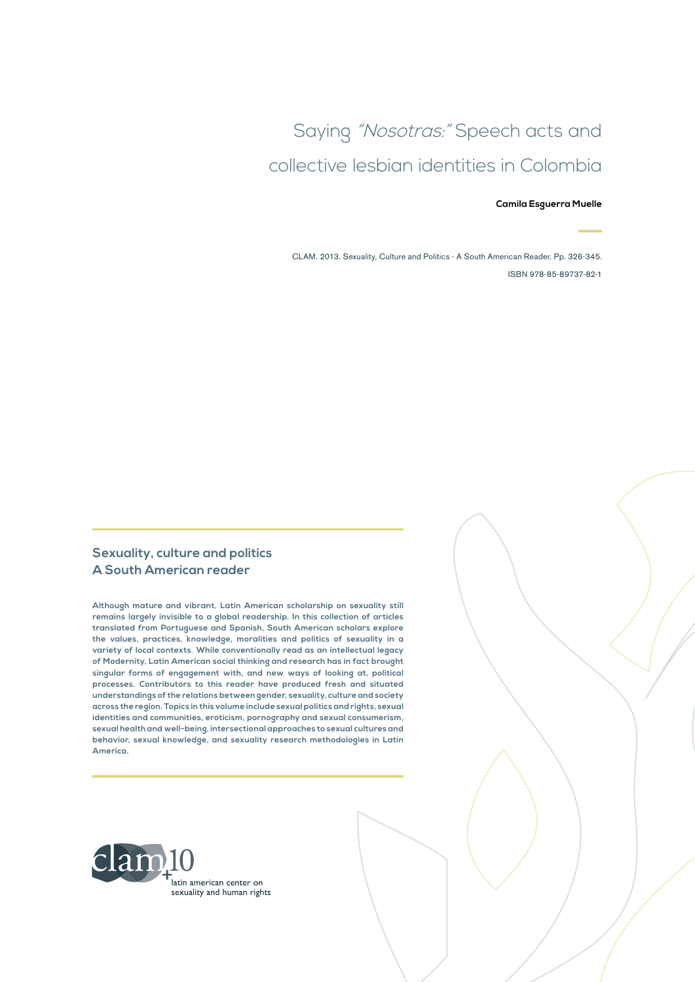# Saying "Nosotras:" Speech acts and collective lesbian identities in Colombia

#### **Camila Esguerra Muelle**

CLAM. 2013. Sexuality, Culture and Politics - A South American Reader. Pp. 326-345. ISBN 978-85-89737-82-1

#### **Sexuality, culture and politics A South American reader**

**Although mature and vibrant, Latin American scholarship on sexuality still remains largely invisible to a global readership. In this collection of articles translated from Portuguese and Spanish, South American scholars explore the values, practices, knowledge, moralities and politics of sexuality in a variety of local contexts. While conventionally read as an intellectual legacy of Modernity, Latin American social thinking and research has in fact brought singular forms of engagement with, and new ways of looking at, political processes. Contributors to this reader have produced fresh and situated understandings of the relations between gender, sexuality, culture and society across the region. Topics in this volume include sexual politics and rights, sexual identities and communities, eroticism, pornography and sexual consumerism, sexual health and well-being, intersectional approaches to sexual cultures and behavior, sexual knowledge, and sexuality research methodologies in Latin America.**

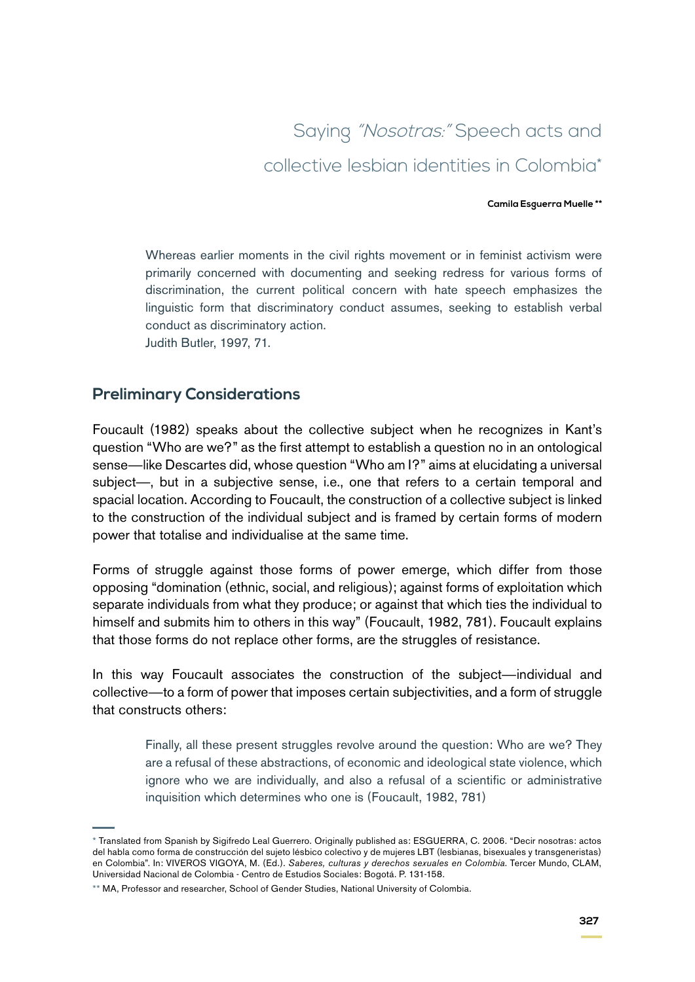# Saying "Nosotras:" Speech acts and collective lesbian identities in Colombia\*

#### **Camila Esguerra Muelle \*\***

Whereas earlier moments in the civil rights movement or in feminist activism were primarily concerned with documenting and seeking redress for various forms of discrimination, the current political concern with hate speech emphasizes the linguistic form that discriminatory conduct assumes, seeking to establish verbal conduct as discriminatory action. Judith Butler, 1997, 71.

## **Preliminary Considerations**

Foucault (1982) speaks about the collective subject when he recognizes in Kant's question "Who are we?" as the first attempt to establish a question no in an ontological sense—like Descartes did, whose question "Who am I?" aims at elucidating a universal subject—, but in a subjective sense, i.e., one that refers to a certain temporal and spacial location. According to Foucault, the construction of a collective subject is linked to the construction of the individual subject and is framed by certain forms of modern power that totalise and individualise at the same time.

Forms of struggle against those forms of power emerge, which differ from those opposing "domination (ethnic, social, and religious); against forms of exploitation which separate individuals from what they produce; or against that which ties the individual to himself and submits him to others in this way" (Foucault, 1982, 781). Foucault explains that those forms do not replace other forms, are the struggles of resistance.

In this way Foucault associates the construction of the subject—individual and collective—to a form of power that imposes certain subjectivities, and a form of struggle that constructs others:

> Finally, all these present struggles revolve around the question: Who are we? They are a refusal of these abstractions, of economic and ideological state violence, which ignore who we are individually, and also a refusal of a scientific or administrative inquisition which determines who one is (Foucault, 1982, 781)

<sup>\*</sup> Translated from Spanish by Sigifredo Leal Guerrero. Originally published as: ESGUERRA, C. 2006. "Decir nosotras: actos del habla como forma de construcción del sujeto lésbico colectivo y de mujeres LBT (lesbianas, bisexuales y transgeneristas) en Colombia". In: VIVEROS VIGOYA, M. (Ed.). *Saberes, culturas y derechos sexuales en Colombia*. Tercer Mundo, CLAM, Universidad Nacional de Colombia - Centro de Estudios Sociales: Bogotá. P. 131-158.

<sup>\*\*</sup> MA, Professor and researcher, School of Gender Studies, National University of Colombia.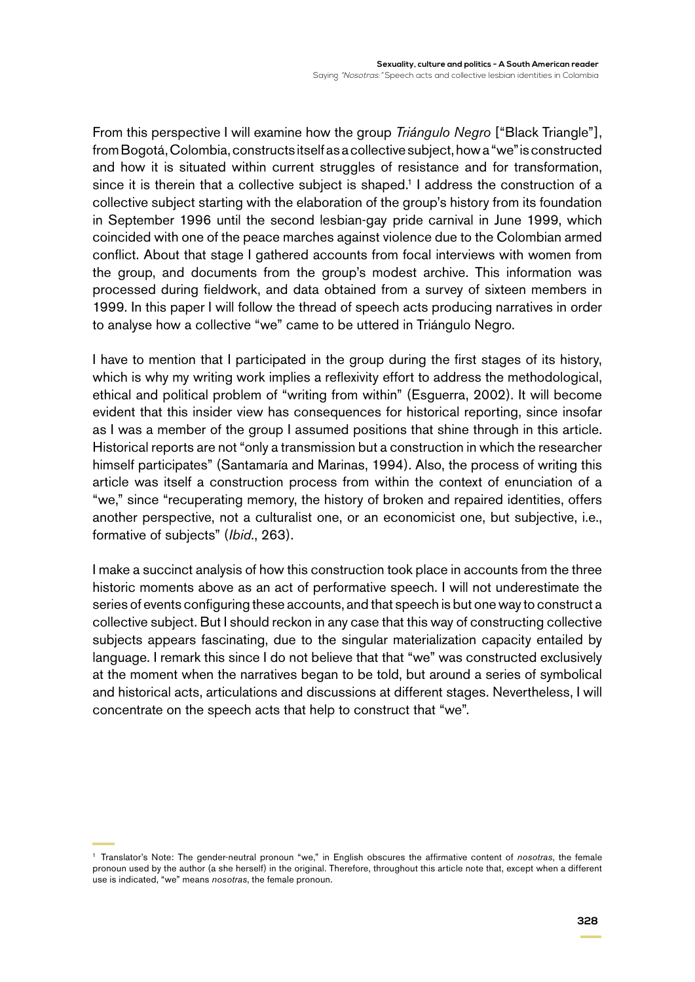From this perspective I will examine how the group *Triángulo Negro* ["Black Triangle"], from Bogotá, Colombia, constructs itself as a collective subject, how a "we"is constructed and how it is situated within current struggles of resistance and for transformation, since it is therein that a collective subject is shaped.<sup>1</sup> I address the construction of a collective subject starting with the elaboration of the group's history from its foundation in September 1996 until the second lesbian-gay pride carnival in June 1999, which coincided with one of the peace marches against violence due to the Colombian armed conflict. About that stage I gathered accounts from focal interviews with women from the group, and documents from the group's modest archive. This information was processed during fieldwork, and data obtained from a survey of sixteen members in 1999. In this paper I will follow the thread of speech acts producing narratives in order to analyse how a collective "we" came to be uttered in Triángulo Negro.

I have to mention that I participated in the group during the first stages of its history, which is why my writing work implies a reflexivity effort to address the methodological, ethical and political problem of "writing from within" (Esguerra, 2002). It will become evident that this insider view has consequences for historical reporting, since insofar as I was a member of the group I assumed positions that shine through in this article. Historical reports are not "only a transmission but a construction in which the researcher himself participates" (Santamaría and Marinas, 1994). Also, the process of writing this article was itself a construction process from within the context of enunciation of a "we," since "recuperating memory, the history of broken and repaired identities, offers another perspective, not a culturalist one, or an economicist one, but subjective, i.e., formative of subjects" (*Ibid.*, 263).

I make a succinct analysis of how this construction took place in accounts from the three historic moments above as an act of performative speech. I will not underestimate the series of events configuring these accounts, and that speech is but one way to construct a collective subject. But I should reckon in any case that this way of constructing collective subjects appears fascinating, due to the singular materialization capacity entailed by language. I remark this since I do not believe that that "we" was constructed exclusively at the moment when the narratives began to be told, but around a series of symbolical and historical acts, articulations and discussions at different stages. Nevertheless, I will concentrate on the speech acts that help to construct that "we".

<sup>1</sup> Translator's Note: The gender-neutral pronoun "we," in English obscures the affirmative content of *nosotras*, the female pronoun used by the author (a she herself) in the original. Therefore, throughout this article note that, except when a different use is indicated, "we" means *nosotras*, the female pronoun.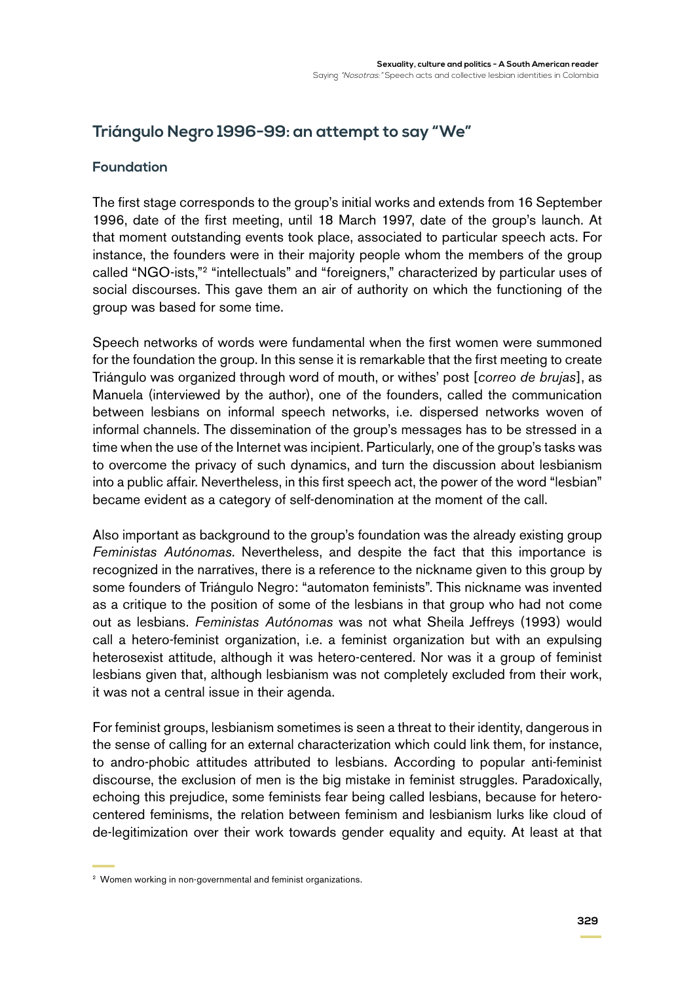## **Triángulo Negro 1996-99: an attempt to say "We"**

### **Foundation**

The first stage corresponds to the group's initial works and extends from 16 September 1996, date of the first meeting, until 18 March 1997, date of the group's launch. At that moment outstanding events took place, associated to particular speech acts. For instance, the founders were in their majority people whom the members of the group called "NGO-ists,"2 "intellectuals" and "foreigners," characterized by particular uses of social discourses. This gave them an air of authority on which the functioning of the group was based for some time.

Speech networks of words were fundamental when the first women were summoned for the foundation the group. In this sense it is remarkable that the first meeting to create Triángulo was organized through word of mouth, or withes' post [*correo de brujas*], as Manuela (interviewed by the author), one of the founders, called the communication between lesbians on informal speech networks, i.e. dispersed networks woven of informal channels. The dissemination of the group's messages has to be stressed in a time when the use of the Internet was incipient. Particularly, one of the group's tasks was to overcome the privacy of such dynamics, and turn the discussion about lesbianism into a public affair. Nevertheless, in this first speech act, the power of the word "lesbian" became evident as a category of self-denomination at the moment of the call.

Also important as background to the group's foundation was the already existing group *Feministas Autónomas*. Nevertheless, and despite the fact that this importance is recognized in the narratives, there is a reference to the nickname given to this group by some founders of Triángulo Negro: "automaton feminists". This nickname was invented as a critique to the position of some of the lesbians in that group who had not come out as lesbians. *Feministas Autónomas* was not what Sheila Jeffreys (1993) would call a hetero-feminist organization, i.e. a feminist organization but with an expulsing heterosexist attitude, although it was hetero-centered. Nor was it a group of feminist lesbians given that, although lesbianism was not completely excluded from their work, it was not a central issue in their agenda.

For feminist groups, lesbianism sometimes is seen a threat to their identity, dangerous in the sense of calling for an external characterization which could link them, for instance, to andro-phobic attitudes attributed to lesbians. According to popular anti-feminist discourse, the exclusion of men is the big mistake in feminist struggles. Paradoxically, echoing this prejudice, some feminists fear being called lesbians, because for heterocentered feminisms, the relation between feminism and lesbianism lurks like cloud of de-legitimization over their work towards gender equality and equity. At least at that

<sup>2</sup> Women working in non-governmental and feminist organizations.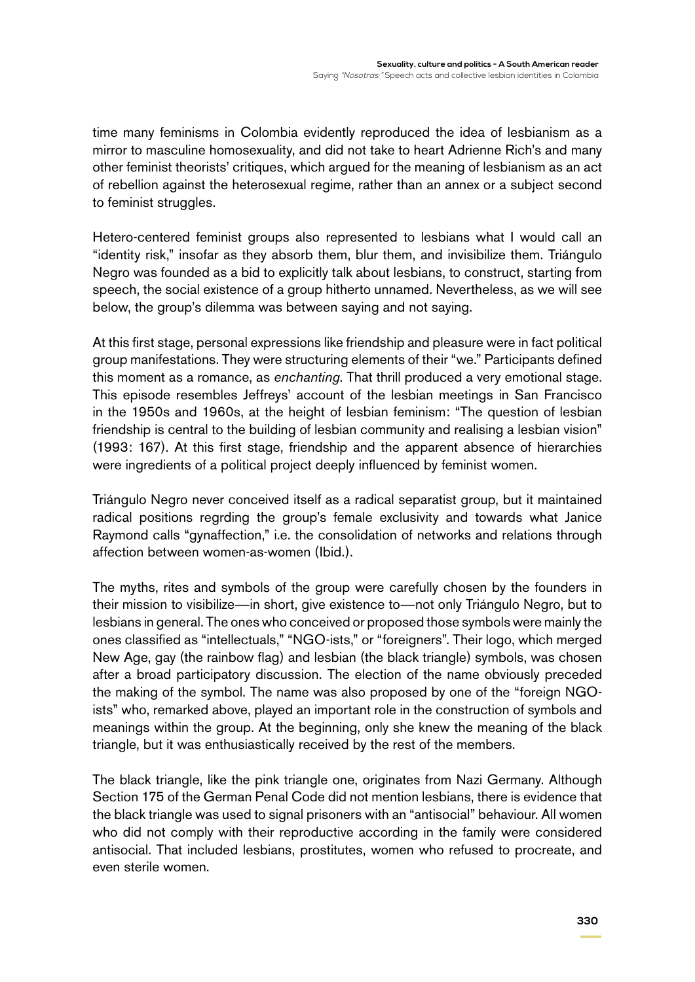time many feminisms in Colombia evidently reproduced the idea of lesbianism as a mirror to masculine homosexuality, and did not take to heart Adrienne Rich's and many other feminist theorists' critiques, which argued for the meaning of lesbianism as an act of rebellion against the heterosexual regime, rather than an annex or a subject second to feminist struggles.

Hetero-centered feminist groups also represented to lesbians what I would call an "identity risk," insofar as they absorb them, blur them, and invisibilize them. Triángulo Negro was founded as a bid to explicitly talk about lesbians, to construct, starting from speech, the social existence of a group hitherto unnamed. Nevertheless, as we will see below, the group's dilemma was between saying and not saying.

At this first stage, personal expressions like friendship and pleasure were in fact political group manifestations. They were structuring elements of their "we." Participants defined this moment as a romance, as *enchanting*. That thrill produced a very emotional stage. This episode resembles Jeffreys' account of the lesbian meetings in San Francisco in the 1950s and 1960s, at the height of lesbian feminism: "The question of lesbian friendship is central to the building of lesbian community and realising a lesbian vision" (1993: 167). At this first stage, friendship and the apparent absence of hierarchies were ingredients of a political project deeply influenced by feminist women.

Triángulo Negro never conceived itself as a radical separatist group, but it maintained radical positions regrding the group's female exclusivity and towards what Janice Raymond calls "gynaffection," i.e. the consolidation of networks and relations through affection between women-as-women (Ibid.).

The myths, rites and symbols of the group were carefully chosen by the founders in their mission to visibilize—in short, give existence to—not only Triángulo Negro, but to lesbians in general. The ones who conceived or proposed those symbols were mainly the ones classified as "intellectuals," "NGO-ists," or "foreigners". Their logo, which merged New Age, gay (the rainbow flag) and lesbian (the black triangle) symbols, was chosen after a broad participatory discussion. The election of the name obviously preceded the making of the symbol. The name was also proposed by one of the "foreign NGOists" who, remarked above, played an important role in the construction of symbols and meanings within the group. At the beginning, only she knew the meaning of the black triangle, but it was enthusiastically received by the rest of the members.

The black triangle, like the pink triangle one, originates from Nazi Germany. Although Section 175 of the German Penal Code did not mention lesbians, there is evidence that the black triangle was used to signal prisoners with an "antisocial" behaviour. All women who did not comply with their reproductive according in the family were considered antisocial. That included lesbians, prostitutes, women who refused to procreate, and even sterile women.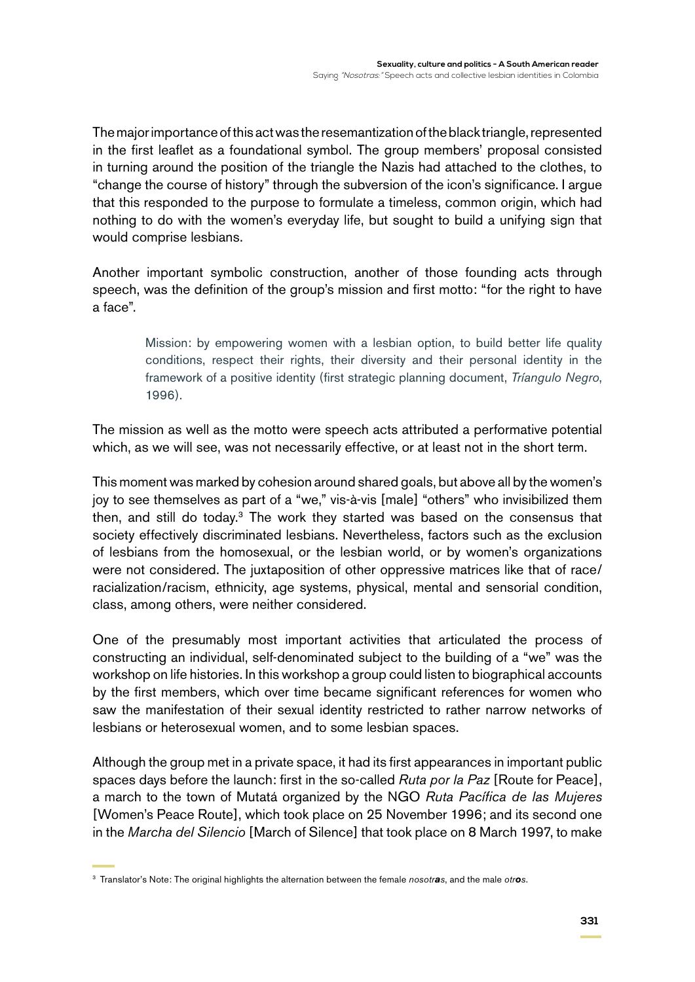The major importance of this act was the resemantization of the black triangle, represented in the first leaflet as a foundational symbol. The group members' proposal consisted in turning around the position of the triangle the Nazis had attached to the clothes, to "change the course of history" through the subversion of the icon's significance. I argue that this responded to the purpose to formulate a timeless, common origin, which had nothing to do with the women's everyday life, but sought to build a unifying sign that would comprise lesbians.

Another important symbolic construction, another of those founding acts through speech, was the definition of the group's mission and first motto: "for the right to have a face".

> Mission: by empowering women with a lesbian option, to build better life quality conditions, respect their rights, their diversity and their personal identity in the framework of a positive identity (first strategic planning document, *Tríangulo Negro*, 1996).

The mission as well as the motto were speech acts attributed a performative potential which, as we will see, was not necessarily effective, or at least not in the short term.

This moment was marked by cohesion around shared goals, but above all by the women's joy to see themselves as part of a "we," vis-à-vis [male] "others" who invisibilized them then, and still do today.<sup>3</sup> The work they started was based on the consensus that society effectively discriminated lesbians. Nevertheless, factors such as the exclusion of lesbians from the homosexual, or the lesbian world, or by women's organizations were not considered. The juxtaposition of other oppressive matrices like that of race/ racialization/racism, ethnicity, age systems, physical, mental and sensorial condition, class, among others, were neither considered.

One of the presumably most important activities that articulated the process of constructing an individual, self-denominated subject to the building of a "we" was the workshop on life histories. In this workshop a group could listen to biographical accounts by the first members, which over time became significant references for women who saw the manifestation of their sexual identity restricted to rather narrow networks of lesbians or heterosexual women, and to some lesbian spaces.

Although the group met in a private space, it had its first appearances in important public spaces days before the launch: first in the so-called *Ruta por la Paz* [Route for Peace], a march to the town of Mutatá organized by the NGO *Ruta Pacífica de las Mujeres* [Women's Peace Route], which took place on 25 November 1996; and its second one in the *Marcha del Silencio* [March of Silence] that took place on 8 March 1997, to make

<sup>3</sup> Translator's Note: The original highlights the alternation between the female *nosotras*, and the male *otros*.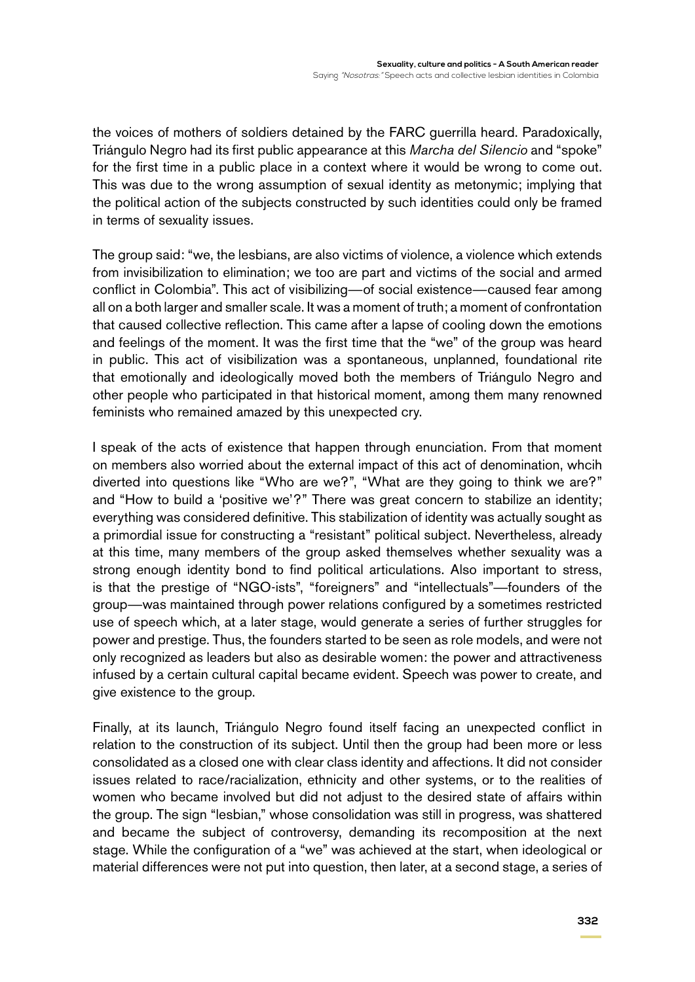the voices of mothers of soldiers detained by the FARC guerrilla heard. Paradoxically, Triángulo Negro had its first public appearance at this *Marcha del Silencio* and "spoke" for the first time in a public place in a context where it would be wrong to come out. This was due to the wrong assumption of sexual identity as metonymic; implying that the political action of the subjects constructed by such identities could only be framed in terms of sexuality issues.

The group said: "we, the lesbians, are also victims of violence, a violence which extends from invisibilization to elimination; we too are part and victims of the social and armed conflict in Colombia". This act of visibilizing—of social existence—caused fear among all on a both larger and smaller scale. It was a moment of truth; a moment of confrontation that caused collective reflection. This came after a lapse of cooling down the emotions and feelings of the moment. It was the first time that the "we" of the group was heard in public. This act of visibilization was a spontaneous, unplanned, foundational rite that emotionally and ideologically moved both the members of Triángulo Negro and other people who participated in that historical moment, among them many renowned feminists who remained amazed by this unexpected cry.

I speak of the acts of existence that happen through enunciation. From that moment on members also worried about the external impact of this act of denomination, whcih diverted into questions like "Who are we?", "What are they going to think we are?" and "How to build a 'positive we'?" There was great concern to stabilize an identity; everything was considered definitive. This stabilization of identity was actually sought as a primordial issue for constructing a "resistant" political subject. Nevertheless, already at this time, many members of the group asked themselves whether sexuality was a strong enough identity bond to find political articulations. Also important to stress, is that the prestige of "NGO-ists", "foreigners" and "intellectuals"—founders of the group—was maintained through power relations configured by a sometimes restricted use of speech which, at a later stage, would generate a series of further struggles for power and prestige. Thus, the founders started to be seen as role models, and were not only recognized as leaders but also as desirable women: the power and attractiveness infused by a certain cultural capital became evident. Speech was power to create, and give existence to the group.

Finally, at its launch, Triángulo Negro found itself facing an unexpected conflict in relation to the construction of its subject. Until then the group had been more or less consolidated as a closed one with clear class identity and affections. It did not consider issues related to race/racialization, ethnicity and other systems, or to the realities of women who became involved but did not adjust to the desired state of affairs within the group. The sign "lesbian," whose consolidation was still in progress, was shattered and became the subject of controversy, demanding its recomposition at the next stage. While the configuration of a "we" was achieved at the start, when ideological or material differences were not put into question, then later, at a second stage, a series of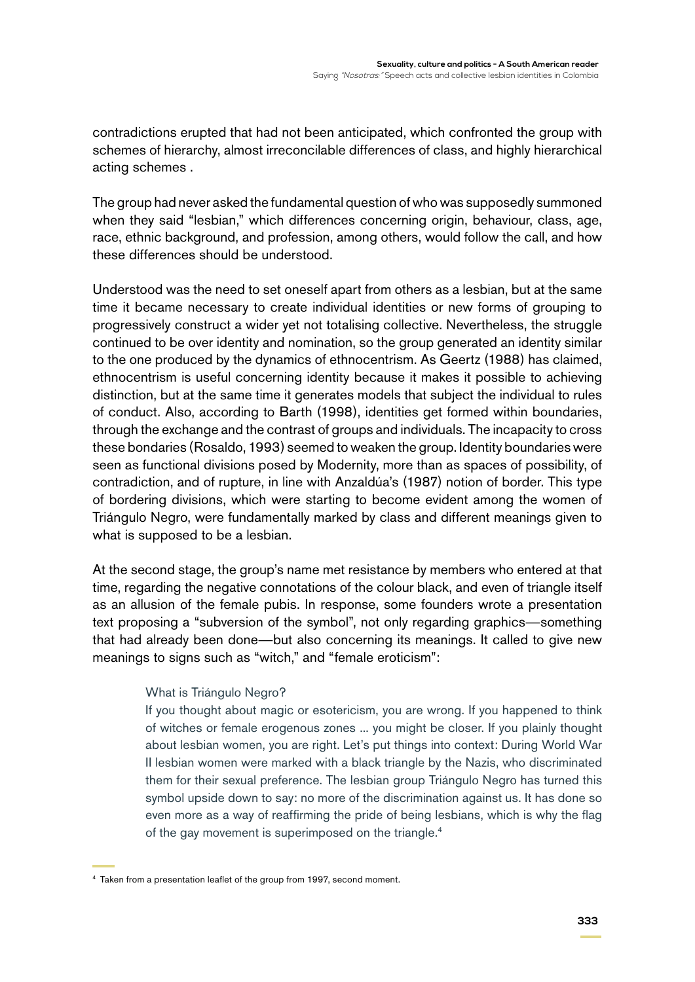contradictions erupted that had not been anticipated, which confronted the group with schemes of hierarchy, almost irreconcilable differences of class, and highly hierarchical acting schemes .

The group had never asked the fundamental question of who was supposedly summoned when they said "lesbian," which differences concerning origin, behaviour, class, age, race, ethnic background, and profession, among others, would follow the call, and how these differences should be understood.

Understood was the need to set oneself apart from others as a lesbian, but at the same time it became necessary to create individual identities or new forms of grouping to progressively construct a wider yet not totalising collective. Nevertheless, the struggle continued to be over identity and nomination, so the group generated an identity similar to the one produced by the dynamics of ethnocentrism. As Geertz (1988) has claimed, ethnocentrism is useful concerning identity because it makes it possible to achieving distinction, but at the same time it generates models that subject the individual to rules of conduct. Also, according to Barth (1998), identities get formed within boundaries, through the exchange and the contrast of groups and individuals. The incapacity to cross these bondaries (Rosaldo, 1993) seemed to weaken the group. Identity boundaries were seen as functional divisions posed by Modernity, more than as spaces of possibility, of contradiction, and of rupture, in line with Anzaldúa's (1987) notion of border. This type of bordering divisions, which were starting to become evident among the women of Triángulo Negro, were fundamentally marked by class and different meanings given to what is supposed to be a lesbian.

At the second stage, the group's name met resistance by members who entered at that time, regarding the negative connotations of the colour black, and even of triangle itself as an allusion of the female pubis. In response, some founders wrote a presentation text proposing a "subversion of the symbol", not only regarding graphics—something that had already been done—but also concerning its meanings. It called to give new meanings to signs such as "witch," and "female eroticism":

#### What is Triángulo Negro?

If you thought about magic or esotericism, you are wrong. If you happened to think of witches or female erogenous zones ... you might be closer. If you plainly thought about lesbian women, you are right. Let's put things into context: During World War II lesbian women were marked with a black triangle by the Nazis, who discriminated them for their sexual preference. The lesbian group Triángulo Negro has turned this symbol upside down to say: no more of the discrimination against us. It has done so even more as a way of reaffirming the pride of being lesbians, which is why the flag of the gay movement is superimposed on the triangle.<sup>4</sup>

<sup>4</sup> Taken from a presentation leaflet of the group from 1997, second moment.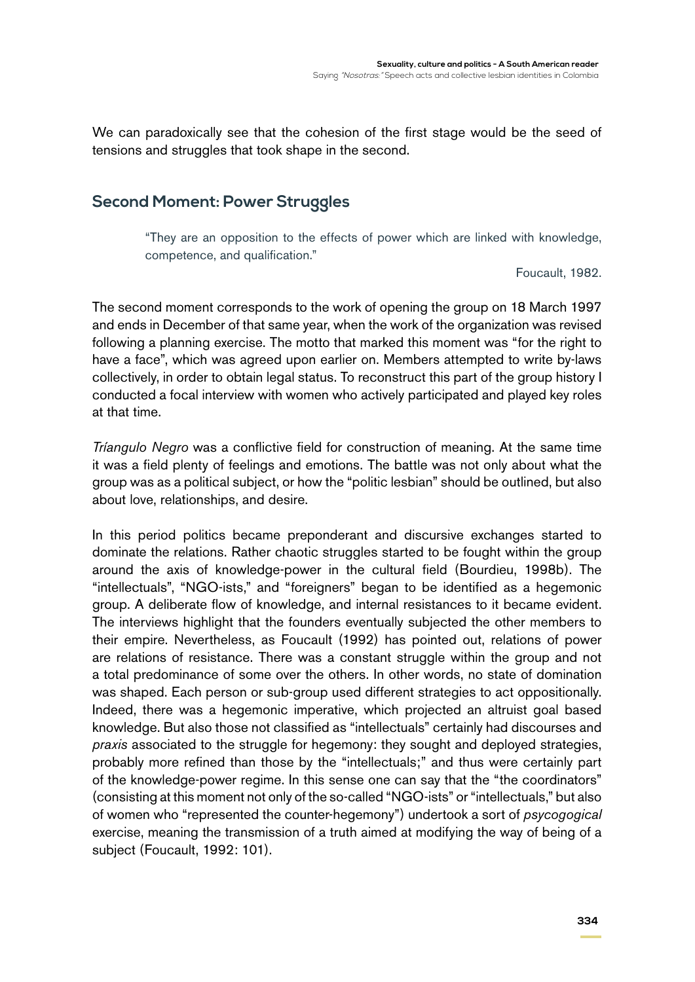We can paradoxically see that the cohesion of the first stage would be the seed of tensions and struggles that took shape in the second.

## **Second Moment: Power Struggles**

"They are an opposition to the effects of power which are linked with knowledge, competence, and qualification."

Foucault, 1982.

The second moment corresponds to the work of opening the group on 18 March 1997 and ends in December of that same year, when the work of the organization was revised following a planning exercise. The motto that marked this moment was "for the right to have a face", which was agreed upon earlier on. Members attempted to write by-laws collectively, in order to obtain legal status. To reconstruct this part of the group history I conducted a focal interview with women who actively participated and played key roles at that time.

*Tríangulo Negro* was a conflictive field for construction of meaning. At the same time it was a field plenty of feelings and emotions. The battle was not only about what the group was as a political subject, or how the "politic lesbian" should be outlined, but also about love, relationships, and desire.

In this period politics became preponderant and discursive exchanges started to dominate the relations. Rather chaotic struggles started to be fought within the group around the axis of knowledge-power in the cultural field (Bourdieu, 1998b). The "intellectuals", "NGO-ists," and "foreigners" began to be identified as a hegemonic group. A deliberate flow of knowledge, and internal resistances to it became evident. The interviews highlight that the founders eventually subjected the other members to their empire. Nevertheless, as Foucault (1992) has pointed out, relations of power are relations of resistance. There was a constant struggle within the group and not a total predominance of some over the others. In other words, no state of domination was shaped. Each person or sub-group used different strategies to act oppositionally. Indeed, there was a hegemonic imperative, which projected an altruist goal based knowledge. But also those not classified as "intellectuals" certainly had discourses and *praxis* associated to the struggle for hegemony: they sought and deployed strategies, probably more refined than those by the "intellectuals;" and thus were certainly part of the knowledge-power regime. In this sense one can say that the "the coordinators" (consisting at this moment not only of the so-called "NGO-ists" or "intellectuals," but also of women who "represented the counter-hegemony") undertook a sort of *psycogogical* exercise, meaning the transmission of a truth aimed at modifying the way of being of a subject (Foucault, 1992: 101).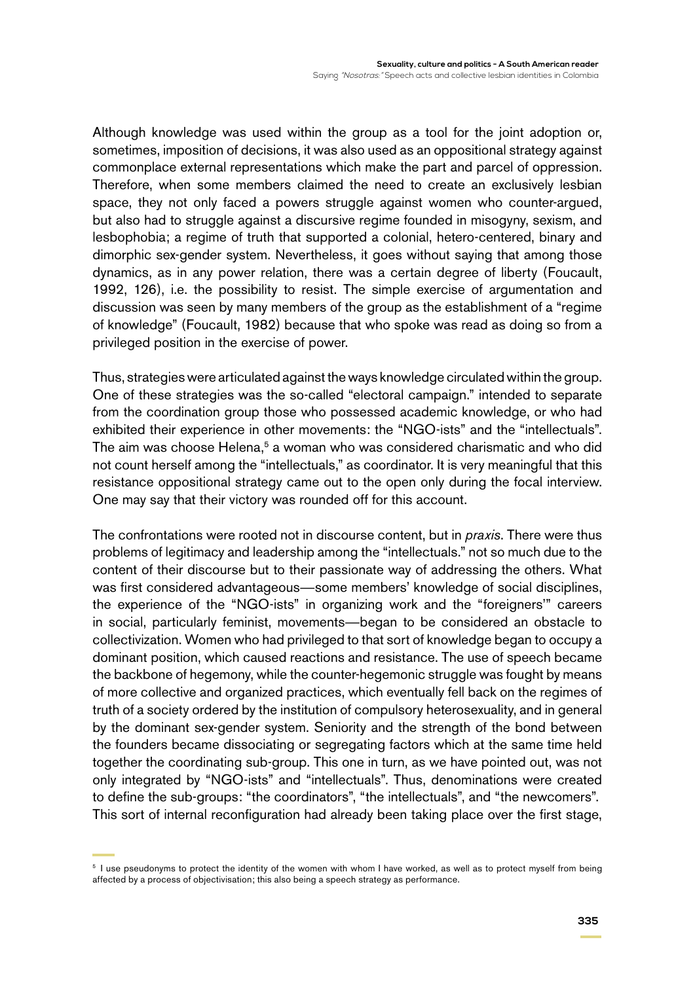Although knowledge was used within the group as a tool for the joint adoption or, sometimes, imposition of decisions, it was also used as an oppositional strategy against commonplace external representations which make the part and parcel of oppression. Therefore, when some members claimed the need to create an exclusively lesbian space, they not only faced a powers struggle against women who counter-argued, but also had to struggle against a discursive regime founded in misogyny, sexism, and lesbophobia; a regime of truth that supported a colonial, hetero-centered, binary and dimorphic sex-gender system. Nevertheless, it goes without saying that among those dynamics, as in any power relation, there was a certain degree of liberty (Foucault, 1992, 126), i.e. the possibility to resist. The simple exercise of argumentation and discussion was seen by many members of the group as the establishment of a "regime of knowledge" (Foucault, 1982) because that who spoke was read as doing so from a privileged position in the exercise of power.

Thus, strategies were articulated against the ways knowledge circulated within the group. One of these strategies was the so-called "electoral campaign." intended to separate from the coordination group those who possessed academic knowledge, or who had exhibited their experience in other movements: the "NGO-ists" and the "intellectuals". The aim was choose Helena,<sup>5</sup> a woman who was considered charismatic and who did not count herself among the "intellectuals," as coordinator. It is very meaningful that this resistance oppositional strategy came out to the open only during the focal interview. One may say that their victory was rounded off for this account.

The confrontations were rooted not in discourse content, but in *praxis*. There were thus problems of legitimacy and leadership among the "intellectuals." not so much due to the content of their discourse but to their passionate way of addressing the others. What was first considered advantageous—some members' knowledge of social disciplines, the experience of the "NGO-ists" in organizing work and the "foreigners'" careers in social, particularly feminist, movements—began to be considered an obstacle to collectivization. Women who had privileged to that sort of knowledge began to occupy a dominant position, which caused reactions and resistance. The use of speech became the backbone of hegemony, while the counter-hegemonic struggle was fought by means of more collective and organized practices, which eventually fell back on the regimes of truth of a society ordered by the institution of compulsory heterosexuality, and in general by the dominant sex-gender system. Seniority and the strength of the bond between the founders became dissociating or segregating factors which at the same time held together the coordinating sub-group. This one in turn, as we have pointed out, was not only integrated by "NGO-ists" and "intellectuals". Thus, denominations were created to define the sub-groups: "the coordinators", "the intellectuals", and "the newcomers". This sort of internal reconfiguration had already been taking place over the first stage,

<sup>&</sup>lt;sup>5</sup> I use pseudonyms to protect the identity of the women with whom I have worked, as well as to protect myself from being affected by a process of objectivisation; this also being a speech strategy as performance.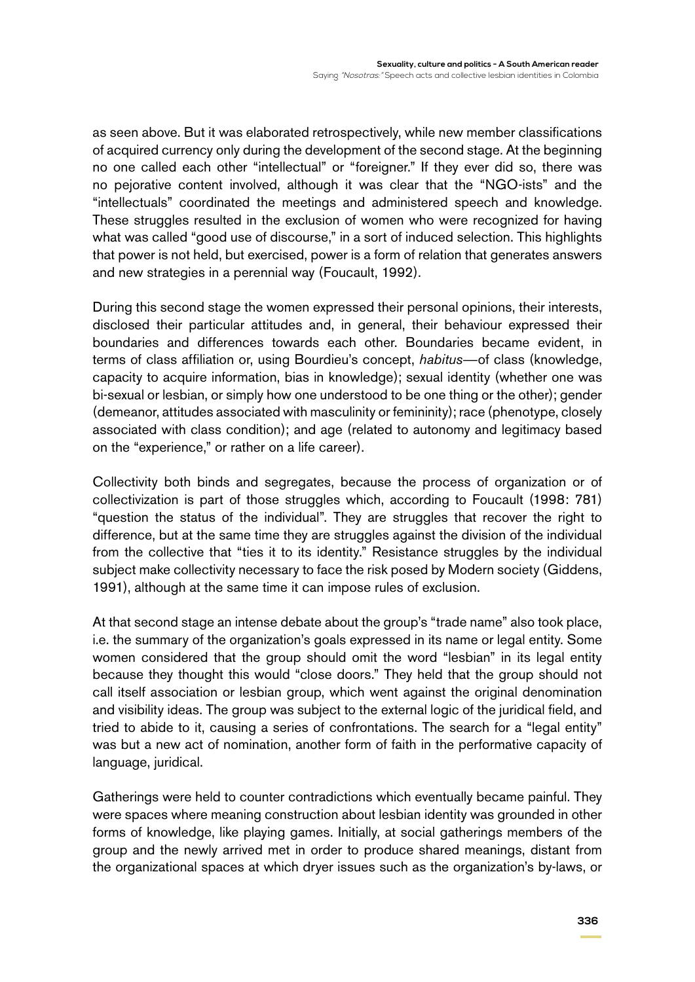as seen above. But it was elaborated retrospectively, while new member classifications of acquired currency only during the development of the second stage. At the beginning no one called each other "intellectual" or "foreigner." If they ever did so, there was no pejorative content involved, although it was clear that the "NGO-ists" and the "intellectuals" coordinated the meetings and administered speech and knowledge. These struggles resulted in the exclusion of women who were recognized for having what was called "good use of discourse," in a sort of induced selection. This highlights that power is not held, but exercised, power is a form of relation that generates answers and new strategies in a perennial way (Foucault, 1992).

During this second stage the women expressed their personal opinions, their interests, disclosed their particular attitudes and, in general, their behaviour expressed their boundaries and differences towards each other. Boundaries became evident, in terms of class affiliation or, using Bourdieu's concept, *habitus*—of class (knowledge, capacity to acquire information, bias in knowledge); sexual identity (whether one was bi-sexual or lesbian, or simply how one understood to be one thing or the other); gender (demeanor, attitudes associated with masculinity or femininity); race (phenotype, closely associated with class condition); and age (related to autonomy and legitimacy based on the "experience," or rather on a life career).

Collectivity both binds and segregates, because the process of organization or of collectivization is part of those struggles which, according to Foucault (1998: 781) "question the status of the individual". They are struggles that recover the right to difference, but at the same time they are struggles against the division of the individual from the collective that "ties it to its identity." Resistance struggles by the individual subject make collectivity necessary to face the risk posed by Modern society (Giddens, 1991), although at the same time it can impose rules of exclusion.

At that second stage an intense debate about the group's "trade name" also took place, i.e. the summary of the organization's goals expressed in its name or legal entity. Some women considered that the group should omit the word "lesbian" in its legal entity because they thought this would "close doors." They held that the group should not call itself association or lesbian group, which went against the original denomination and visibility ideas. The group was subject to the external logic of the juridical field, and tried to abide to it, causing a series of confrontations. The search for a "legal entity" was but a new act of nomination, another form of faith in the performative capacity of language, juridical.

Gatherings were held to counter contradictions which eventually became painful. They were spaces where meaning construction about lesbian identity was grounded in other forms of knowledge, like playing games. Initially, at social gatherings members of the group and the newly arrived met in order to produce shared meanings, distant from the organizational spaces at which dryer issues such as the organization's by-laws, or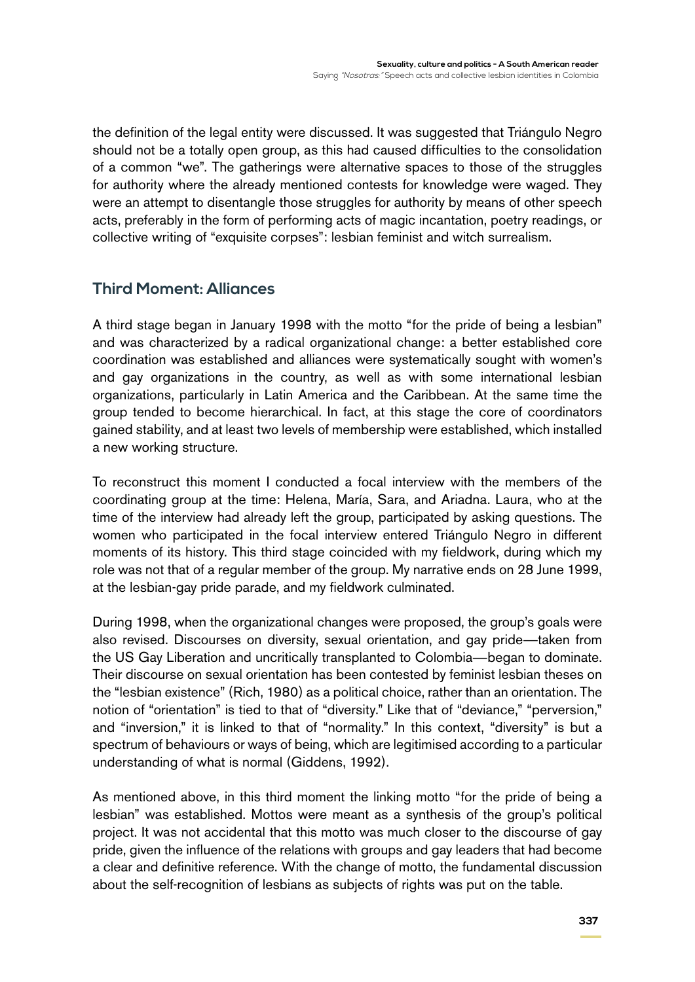the definition of the legal entity were discussed. It was suggested that Triángulo Negro should not be a totally open group, as this had caused difficulties to the consolidation of a common "we". The gatherings were alternative spaces to those of the struggles for authority where the already mentioned contests for knowledge were waged. They were an attempt to disentangle those struggles for authority by means of other speech acts, preferably in the form of performing acts of magic incantation, poetry readings, or collective writing of "exquisite corpses": lesbian feminist and witch surrealism.

## **Third Moment: Alliances**

A third stage began in January 1998 with the motto "for the pride of being a lesbian" and was characterized by a radical organizational change: a better established core coordination was established and alliances were systematically sought with women's and gay organizations in the country, as well as with some international lesbian organizations, particularly in Latin America and the Caribbean. At the same time the group tended to become hierarchical. In fact, at this stage the core of coordinators gained stability, and at least two levels of membership were established, which installed a new working structure.

To reconstruct this moment I conducted a focal interview with the members of the coordinating group at the time: Helena, María, Sara, and Ariadna. Laura, who at the time of the interview had already left the group, participated by asking questions. The women who participated in the focal interview entered Triángulo Negro in different moments of its history. This third stage coincided with my fieldwork, during which my role was not that of a regular member of the group. My narrative ends on 28 June 1999, at the lesbian-gay pride parade, and my fieldwork culminated.

During 1998, when the organizational changes were proposed, the group's goals were also revised. Discourses on diversity, sexual orientation, and gay pride—taken from the US Gay Liberation and uncritically transplanted to Colombia—began to dominate. Their discourse on sexual orientation has been contested by feminist lesbian theses on the "lesbian existence" (Rich, 1980) as a political choice, rather than an orientation. The notion of "orientation" is tied to that of "diversity." Like that of "deviance," "perversion," and "inversion," it is linked to that of "normality." In this context, "diversity" is but a spectrum of behaviours or ways of being, which are legitimised according to a particular understanding of what is normal (Giddens, 1992).

As mentioned above, in this third moment the linking motto "for the pride of being a lesbian" was established. Mottos were meant as a synthesis of the group's political project. It was not accidental that this motto was much closer to the discourse of gay pride, given the influence of the relations with groups and gay leaders that had become a clear and definitive reference. With the change of motto, the fundamental discussion about the self-recognition of lesbians as subjects of rights was put on the table.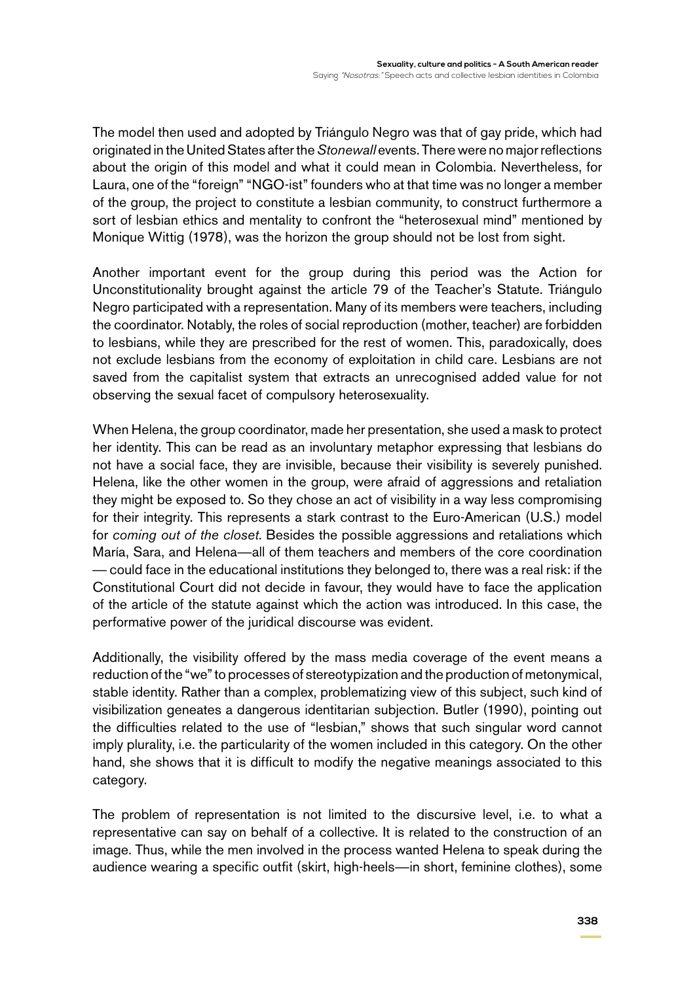The model then used and adopted by Triángulo Negro was that of gay pride, which had originated in the United States after the *Stonewall* events. There were no major reflections about the origin of this model and what it could mean in Colombia. Nevertheless, for Laura, one of the "foreign" "NGO-ist" founders who at that time was no longer a member of the group, the project to constitute a lesbian community, to construct furthermore a sort of lesbian ethics and mentality to confront the "heterosexual mind" mentioned by Monique Wittig (1978), was the horizon the group should not be lost from sight.

Another important event for the group during this period was the Action for Unconstitutionality brought against the article 79 of the Teacher's Statute. Triángulo Negro participated with a representation. Many of its members were teachers, including the coordinator. Notably, the roles of social reproduction (mother, teacher) are forbidden to lesbians, while they are prescribed for the rest of women. This, paradoxically, does not exclude lesbians from the economy of exploitation in child care. Lesbians are not saved from the capitalist system that extracts an unrecognised added value for not observing the sexual facet of compulsory heterosexuality.

When Helena, the group coordinator, made her presentation, she used a mask to protect her identity. This can be read as an involuntary metaphor expressing that lesbians do not have a social face, they are invisible, because their visibility is severely punished. Helena, like the other women in the group, were afraid of aggressions and retaliation they might be exposed to. So they chose an act of visibility in a way less compromising for their integrity. This represents a stark contrast to the Euro-American (U.S.) model for *coming out of the closet*. Besides the possible aggressions and retaliations which María, Sara, and Helena—all of them teachers and members of the core coordination — could face in the educational institutions they belonged to, there was a real risk: if the Constitutional Court did not decide in favour, they would have to face the application of the article of the statute against which the action was introduced. In this case, the performative power of the juridical discourse was evident.

Additionally, the visibility offered by the mass media coverage of the event means a reduction of the "we" to processes of stereotypization and the production of metonymical, stable identity. Rather than a complex, problematizing view of this subject, such kind of visibilization geneates a dangerous identitarian subjection. Butler (1990), pointing out the difficulties related to the use of "lesbian," shows that such singular word cannot imply plurality, i.e. the particularity of the women included in this category. On the other hand, she shows that it is difficult to modify the negative meanings associated to this category.

The problem of representation is not limited to the discursive level, i.e. to what a representative can say on behalf of a collective. It is related to the construction of an image. Thus, while the men involved in the process wanted Helena to speak during the audience wearing a specific outfit (skirt, high-heels—in short, feminine clothes), some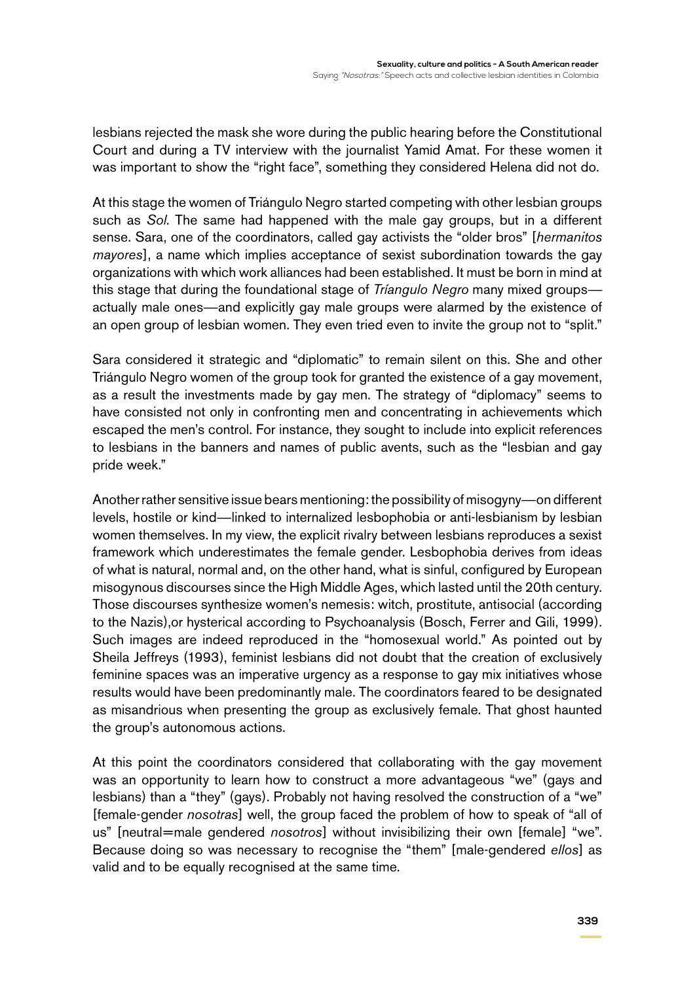lesbians rejected the mask she wore during the public hearing before the Constitutional Court and during a TV interview with the journalist Yamid Amat. For these women it was important to show the "right face", something they considered Helena did not do.

At this stage the women of Triángulo Negro started competing with other lesbian groups such as *Sol*. The same had happened with the male gay groups, but in a different sense. Sara, one of the coordinators, called gay activists the "older bros" [*hermanitos mayores*], a name which implies acceptance of sexist subordination towards the gay organizations with which work alliances had been established. It must be born in mind at this stage that during the foundational stage of *Tríangulo Negro* many mixed groups actually male ones—and explicitly gay male groups were alarmed by the existence of an open group of lesbian women. They even tried even to invite the group not to "split."

Sara considered it strategic and "diplomatic" to remain silent on this. She and other Triángulo Negro women of the group took for granted the existence of a gay movement, as a result the investments made by gay men. The strategy of "diplomacy" seems to have consisted not only in confronting men and concentrating in achievements which escaped the men's control. For instance, they sought to include into explicit references to lesbians in the banners and names of public avents, such as the "lesbian and gay pride week."

Another rather sensitive issue bears mentioning: the possibility of misogyny—on different levels, hostile or kind—linked to internalized lesbophobia or anti-lesbianism by lesbian women themselves. In my view, the explicit rivalry between lesbians reproduces a sexist framework which underestimates the female gender. Lesbophobia derives from ideas of what is natural, normal and, on the other hand, what is sinful, configured by European misogynous discourses since the High Middle Ages, which lasted until the 20th century. Those discourses synthesize women's nemesis: witch, prostitute, antisocial (according to the Nazis),or hysterical according to Psychoanalysis (Bosch, Ferrer and Gili, 1999). Such images are indeed reproduced in the "homosexual world." As pointed out by Sheila Jeffreys (1993), feminist lesbians did not doubt that the creation of exclusively feminine spaces was an imperative urgency as a response to gay mix initiatives whose results would have been predominantly male. The coordinators feared to be designated as misandrious when presenting the group as exclusively female. That ghost haunted the group's autonomous actions.

At this point the coordinators considered that collaborating with the gay movement was an opportunity to learn how to construct a more advantageous "we" (gays and lesbians) than a "they" (gays). Probably not having resolved the construction of a "we" [female-gender *nosotras*] well, the group faced the problem of how to speak of "all of us" [neutral=male gendered *nosotros*] without invisibilizing their own [female] "we". Because doing so was necessary to recognise the "them" [male-gendered *ellos*] as valid and to be equally recognised at the same time.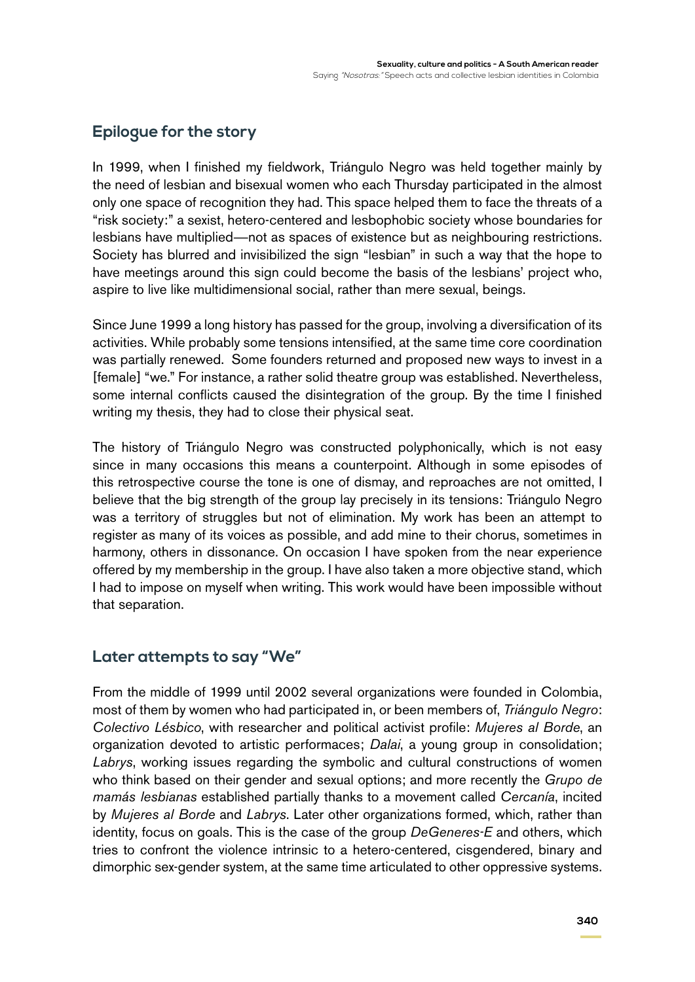# **Epilogue for the story**

In 1999, when I finished my fieldwork, Triángulo Negro was held together mainly by the need of lesbian and bisexual women who each Thursday participated in the almost only one space of recognition they had. This space helped them to face the threats of a "risk society:" a sexist, hetero-centered and lesbophobic society whose boundaries for lesbians have multiplied—not as spaces of existence but as neighbouring restrictions. Society has blurred and invisibilized the sign "lesbian" in such a way that the hope to have meetings around this sign could become the basis of the lesbians' project who, aspire to live like multidimensional social, rather than mere sexual, beings.

Since June 1999 a long history has passed for the group, involving a diversification of its activities. While probably some tensions intensified, at the same time core coordination was partially renewed. Some founders returned and proposed new ways to invest in a [female] "we." For instance, a rather solid theatre group was established. Nevertheless, some internal conflicts caused the disintegration of the group. By the time I finished writing my thesis, they had to close their physical seat.

The history of Triángulo Negro was constructed polyphonically, which is not easy since in many occasions this means a counterpoint. Although in some episodes of this retrospective course the tone is one of dismay, and reproaches are not omitted, I believe that the big strength of the group lay precisely in its tensions: Triángulo Negro was a territory of struggles but not of elimination. My work has been an attempt to register as many of its voices as possible, and add mine to their chorus, sometimes in harmony, others in dissonance. On occasion I have spoken from the near experience offered by my membership in the group. I have also taken a more objective stand, which I had to impose on myself when writing. This work would have been impossible without that separation.

## **Later attempts to say "We"**

From the middle of 1999 until 2002 several organizations were founded in Colombia, most of them by women who had participated in, or been members of, *Triángulo Negro*: *Colectivo Lésbico*, with researcher and political activist profile: *Mujeres al Borde*, an organization devoted to artistic performaces; *Dalai*, a young group in consolidation; *Labrys*, working issues regarding the symbolic and cultural constructions of women who think based on their gender and sexual options; and more recently the *Grupo de mamás lesbianas* established partially thanks to a movement called *Cercanía*, incited by *Mujeres al Borde* and *Labrys*. Later other organizations formed, which, rather than identity, focus on goals. This is the case of the group *DeGeneres-E* and others, which tries to confront the violence intrinsic to a hetero-centered, cisgendered, binary and dimorphic sex-gender system, at the same time articulated to other oppressive systems.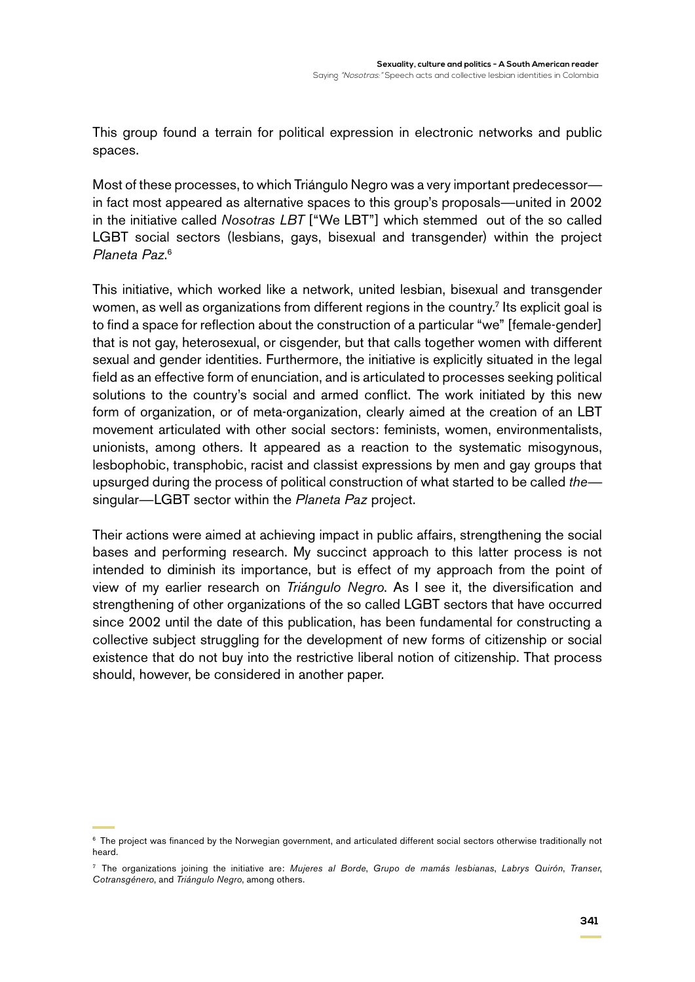This group found a terrain for political expression in electronic networks and public spaces.

Most of these processes, to which Triángulo Negro was a very important predecessor in fact most appeared as alternative spaces to this group's proposals—united in 2002 in the initiative called *Nosotras LBT* ["We LBT"] which stemmed out of the so called LGBT social sectors (lesbians, gays, bisexual and transgender) within the project *Planeta Paz*. 6

This initiative, which worked like a network, united lesbian, bisexual and transgender women, as well as organizations from different regions in the country.<sup>7</sup> Its explicit goal is to find a space for reflection about the construction of a particular "we" [female-gender] that is not gay, heterosexual, or cisgender, but that calls together women with different sexual and gender identities. Furthermore, the initiative is explicitly situated in the legal field as an effective form of enunciation, and is articulated to processes seeking political solutions to the country's social and armed conflict. The work initiated by this new form of organization, or of meta-organization, clearly aimed at the creation of an LBT movement articulated with other social sectors: feminists, women, environmentalists, unionists, among others. It appeared as a reaction to the systematic misogynous, lesbophobic, transphobic, racist and classist expressions by men and gay groups that upsurged during the process of political construction of what started to be called *the* singular—LGBT sector within the *Planeta Paz* project.

Their actions were aimed at achieving impact in public affairs, strengthening the social bases and performing research. My succinct approach to this latter process is not intended to diminish its importance, but is effect of my approach from the point of view of my earlier research on *Triángulo Negro*. As I see it, the diversification and strengthening of other organizations of the so called LGBT sectors that have occurred since 2002 until the date of this publication, has been fundamental for constructing a collective subject struggling for the development of new forms of citizenship or social existence that do not buy into the restrictive liberal notion of citizenship. That process should, however, be considered in another paper.

<sup>6</sup> The project was financed by the Norwegian government, and articulated different social sectors otherwise traditionally not heard.

<sup>7</sup> The organizations joining the initiative are: *Mujeres al Borde*, *Grupo de mamás lesbianas*, *Labrys Quirón*, *Transer*, *Cotransgénero*, and *Triángulo Negro*, among others.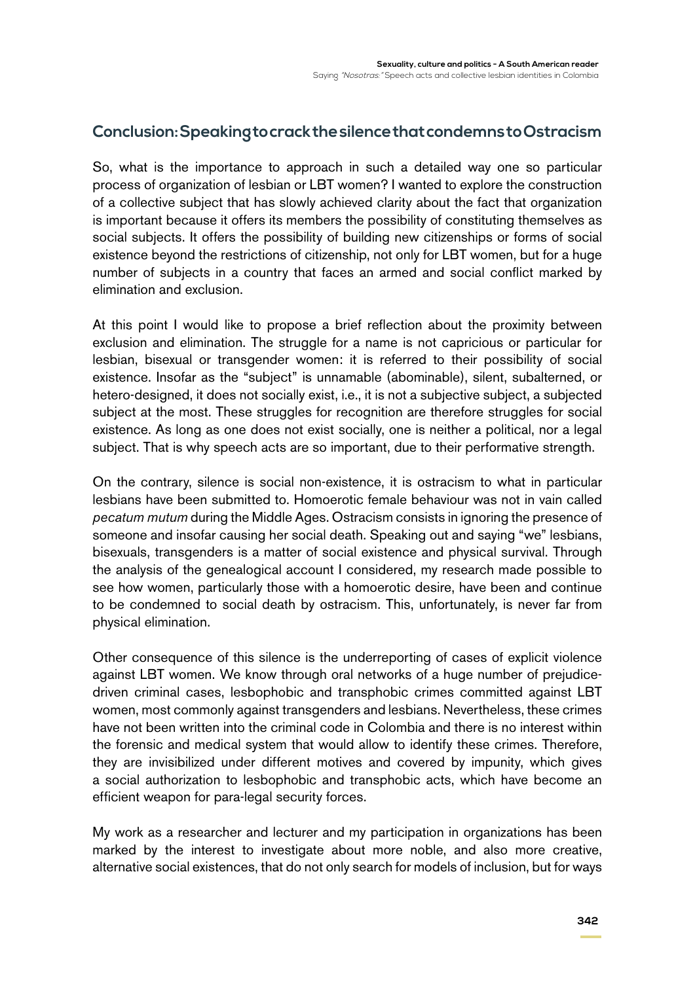## **Conclusion: Speaking to crack the silence that condemns to Ostracism**

So, what is the importance to approach in such a detailed way one so particular process of organization of lesbian or LBT women? I wanted to explore the construction of a collective subject that has slowly achieved clarity about the fact that organization is important because it offers its members the possibility of constituting themselves as social subjects. It offers the possibility of building new citizenships or forms of social existence beyond the restrictions of citizenship, not only for LBT women, but for a huge number of subjects in a country that faces an armed and social conflict marked by elimination and exclusion.

At this point I would like to propose a brief reflection about the proximity between exclusion and elimination. The struggle for a name is not capricious or particular for lesbian, bisexual or transgender women: it is referred to their possibility of social existence. Insofar as the "subject" is unnamable (abominable), silent, subalterned, or hetero-designed, it does not socially exist, i.e., it is not a subjective subject, a subjected subject at the most. These struggles for recognition are therefore struggles for social existence. As long as one does not exist socially, one is neither a political, nor a legal subject. That is why speech acts are so important, due to their performative strength.

On the contrary, silence is social non-existence, it is ostracism to what in particular lesbians have been submitted to. Homoerotic female behaviour was not in vain called *pecatum mutum* during the Middle Ages. Ostracism consists in ignoring the presence of someone and insofar causing her social death. Speaking out and saying "we" lesbians, bisexuals, transgenders is a matter of social existence and physical survival. Through the analysis of the genealogical account I considered, my research made possible to see how women, particularly those with a homoerotic desire, have been and continue to be condemned to social death by ostracism. This, unfortunately, is never far from physical elimination.

Other consequence of this silence is the underreporting of cases of explicit violence against LBT women. We know through oral networks of a huge number of prejudicedriven criminal cases, lesbophobic and transphobic crimes committed against LBT women, most commonly against transgenders and lesbians. Nevertheless, these crimes have not been written into the criminal code in Colombia and there is no interest within the forensic and medical system that would allow to identify these crimes. Therefore, they are invisibilized under different motives and covered by impunity, which gives a social authorization to lesbophobic and transphobic acts, which have become an efficient weapon for para-legal security forces.

My work as a researcher and lecturer and my participation in organizations has been marked by the interest to investigate about more noble, and also more creative, alternative social existences, that do not only search for models of inclusion, but for ways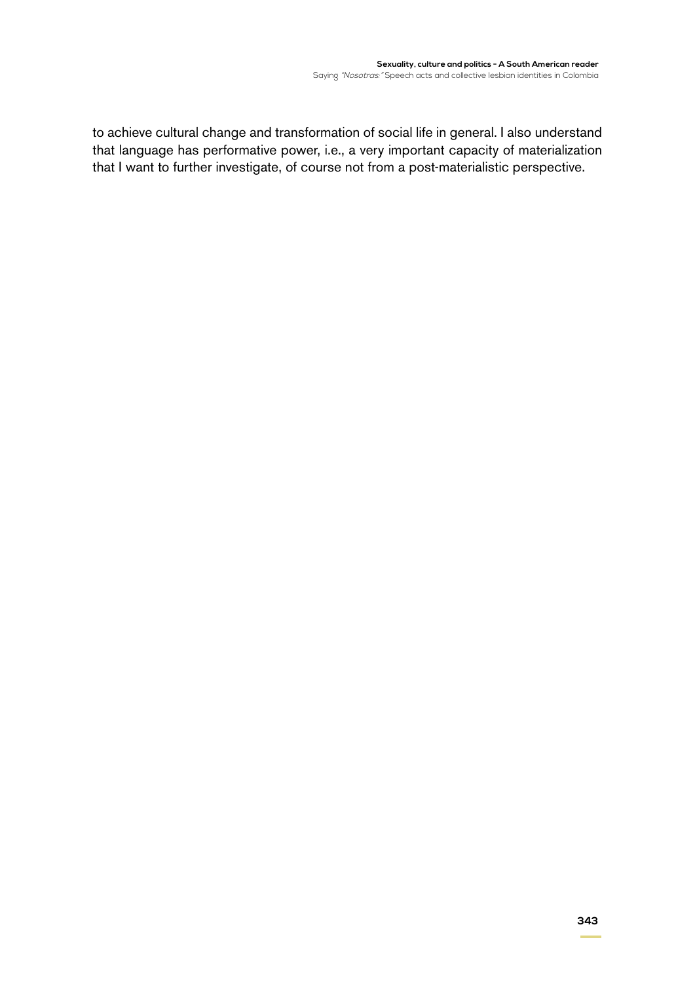to achieve cultural change and transformation of social life in general. I also understand that language has performative power, i.e., a very important capacity of materialization that I want to further investigate, of course not from a post-materialistic perspective.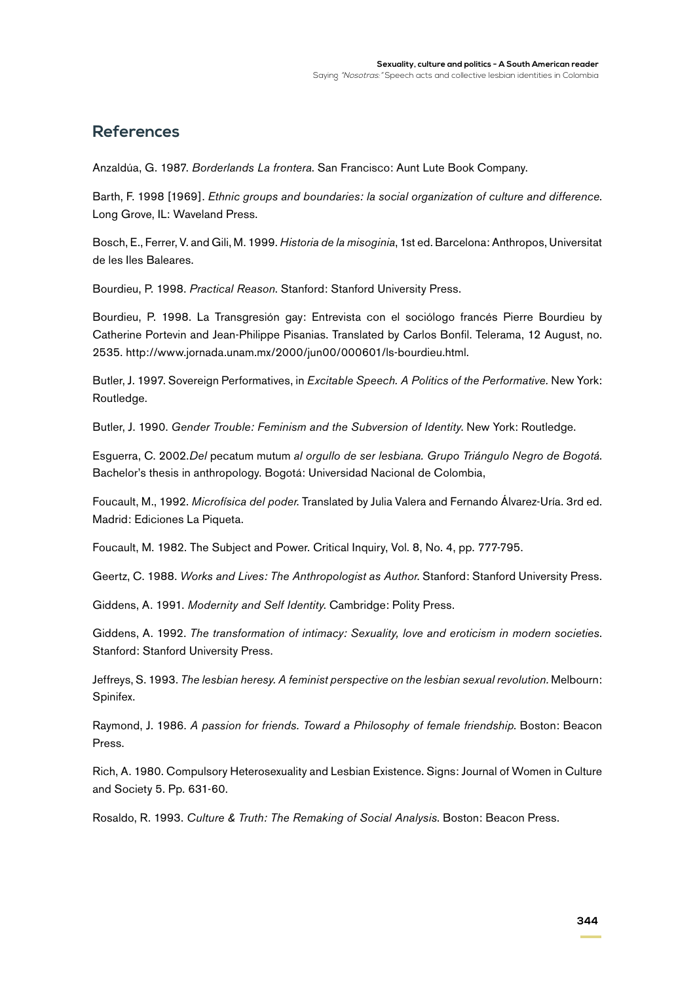## **References**

Anzaldúa, G. 1987. *Borderlands La frontera*. San Francisco: Aunt Lute Book Company.

Barth, F. 1998 [1969]. *Ethnic groups and boundaries: la social organization of culture and difference*. Long Grove, IL: Waveland Press.

Bosch, E., Ferrer, V. and Gili, M. 1999. *Historia de la misoginia*, 1st ed. Barcelona: Anthropos, Universitat de les Iles Baleares.

Bourdieu, P. 1998. *Practical Reason*. Stanford: Stanford University Press.

Bourdieu, P. 1998. La Transgresión gay: Entrevista con el sociólogo francés Pierre Bourdieu by Catherine Portevin and Jean-Philippe Pisanias. Translated by Carlos Bonfil. Telerama, 12 August, no. 2535. http://www.jornada.unam.mx/2000/jun00/000601/ls-bourdieu.html.

Butler, J. 1997. Sovereign Performatives, in *Excitable Speech. A Politics of the Performative.* New York: Routledge.

Butler, J. 1990. *Gender Trouble: Feminism and the Subversion of Identity*. New York: Routledge.

Esguerra, C. 2002.*Del* pecatum mutum *al orgullo de ser lesbiana. Grupo Triángulo Negro de Bogotá*. Bachelor's thesis in anthropology. Bogotá: Universidad Nacional de Colombia,

Foucault, M., 1992. *Microfísica del poder*. Translated by Julia Valera and Fernando Álvarez-Uría. 3rd ed. Madrid: Ediciones La Piqueta.

Foucault, M. 1982. The Subject and Power. Critical Inquiry, Vol. 8, No. 4, pp. 777-795.

Geertz, C. 1988. *Works and Lives: The Anthropologist as Author*. Stanford: Stanford University Press.

Giddens, A. 1991. *Modernity and Self Identity*. Cambridge: Polity Press.

Giddens, A. 1992. *The transformation of intimacy: Sexuality, love and eroticism in modern societies*. Stanford: Stanford University Press.

Jeffreys, S. 1993. *The lesbian heresy. A feminist perspective on the lesbian sexual revolution.* Melbourn: Spinifex.

Raymond, J. 1986. *A passion for friends. Toward a Philosophy of female friendship*. Boston: Beacon Press.

Rich, A. 1980. Compulsory Heterosexuality and Lesbian Existence. Signs: Journal of Women in Culture and Society 5. Pp. 631-60.

Rosaldo, R. 1993. *Culture & Truth: The Remaking of Social Analysis*. Boston: Beacon Press.